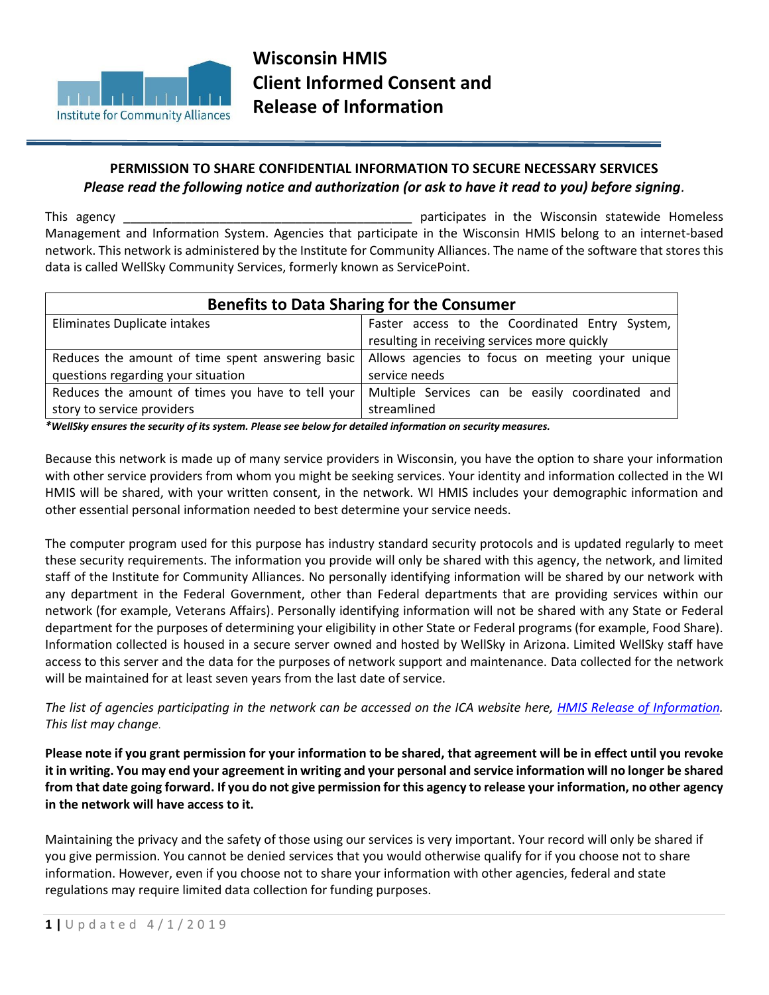

# **PERMISSION TO SHARE CONFIDENTIAL INFORMATION TO SECURE NECESSARY SERVICES** *Please read the following notice and authorization (or ask to have it read to you) before signing.*

This agency **This agency Example 2** and the Misconsin statewide Homeless in the Wisconsin statewide Homeless Management and Information System. Agencies that participate in the Wisconsin HMIS belong to an internet-based network. This network is administered by the Institute for Community Alliances. The name of the software that stores this data is called WellSky Community Services, formerly known as ServicePoint.

| <b>Benefits to Data Sharing for the Consumer</b>  |                                                 |  |  |
|---------------------------------------------------|-------------------------------------------------|--|--|
| Eliminates Duplicate intakes                      | Faster access to the Coordinated Entry System,  |  |  |
|                                                   | resulting in receiving services more quickly    |  |  |
| Reduces the amount of time spent answering basic  | Allows agencies to focus on meeting your unique |  |  |
| questions regarding your situation                | service needs                                   |  |  |
| Reduces the amount of times you have to tell your | Multiple Services can be easily coordinated and |  |  |
| story to service providers                        | streamlined                                     |  |  |

*\*WellSky ensures the security of its system. Please see below for detailed information on security measures.* 

Because this network is made up of many service providers in Wisconsin, you have the option to share your information with other service providers from whom you might be seeking services. Your identity and information collected in the WI HMIS will be shared, with your written consent, in the network. WI HMIS includes your demographic information and other essential personal information needed to best determine your service needs.

The computer program used for this purpose has industry standard security protocols and is updated regularly to meet these security requirements. The information you provide will only be shared with this agency, the network, and limited staff of the Institute for Community Alliances. No personally identifying information will be shared by our network with any department in the Federal Government, other than Federal departments that are providing services within our network (for example, Veterans Affairs). Personally identifying information will not be shared with any State or Federal department for the purposes of determining your eligibility in other State or Federal programs (for example, Food Share). Information collected is housed in a secure server owned and hosted by WellSky in Arizona. Limited WellSky staff have access to this server and the data for the purposes of network support and maintenance. Data collected for the network will be maintained for at least seven years from the last date of service.

*The list of agencies participating in the network can be accessed on the ICA website here, [HMIS Release of Information.](https://www.icalliances.org/wisp-release-of-information) This list may change*.

**Please note if you grant permission for your information to be shared, that agreement will be in effect until you revoke it in writing. You may end your agreement in writing and your personal and service information will no longer be shared from that date going forward. If you do not give permission for this agency to release your information, no other agency in the network will have access to it.**

Maintaining the privacy and the safety of those using our services is very important. Your record will only be shared if you give permission. You cannot be denied services that you would otherwise qualify for if you choose not to share information. However, even if you choose not to share your information with other agencies, federal and state regulations may require limited data collection for funding purposes.